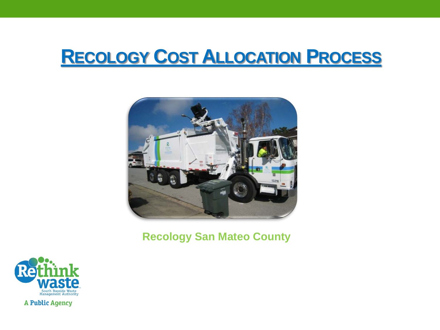# **RECOLOGY COST ALLOCATION PROCESS**



**Recology San Mateo County**

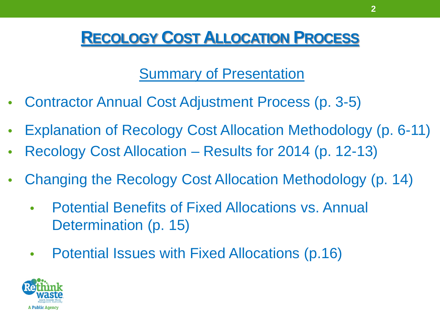#### **RECOLOGY COST ALLOCATION PROCESS**

Summary of Presentation

- Contractor Annual Cost Adjustment Process (p. 3-5)
- Explanation of Recology Cost Allocation Methodology (p. 6-11)
- Recology Cost Allocation Results for 2014 (p. 12-13)
- Changing the Recology Cost Allocation Methodology (p. 14)
	- Potential Benefits of Fixed Allocations vs. Annual Determination (p. 15)
	- Potential Issues with Fixed Allocations (p.16)

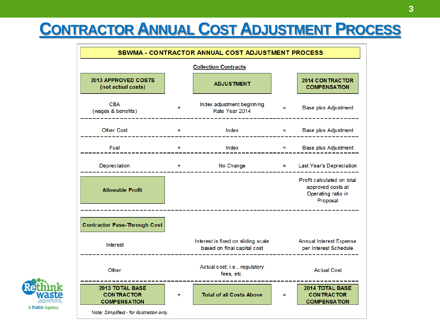#### **CONTRACTOR ANNUAL COST ADJUSTMENT PROCESS**

| <b>SBWMA - CONTRACTOR ANNUAL COST ADJUSTMENT PROCESS</b> |                                                                   |     |                                                                                   |  |  |
|----------------------------------------------------------|-------------------------------------------------------------------|-----|-----------------------------------------------------------------------------------|--|--|
|                                                          | <b>Collection Contracts</b>                                       |     |                                                                                   |  |  |
|                                                          | <b>ADJUSTMENT</b>                                                 |     | 2014 CONTRACTOR<br><b>COMPENSATION</b>                                            |  |  |
| ÷                                                        | Index adjustment beginning<br>Rate Year 2014                      | Ξ   | <b>Base plus Adjustment</b>                                                       |  |  |
| ٠                                                        | Index                                                             | Ξ.  | <b>Base plus Adjustment</b>                                                       |  |  |
| ÷                                                        | Index                                                             | $=$ | Base plus Adjustment                                                              |  |  |
| ÷                                                        | No Change                                                         | ÷   | Last Year's Depreciation                                                          |  |  |
|                                                          |                                                                   |     | Profit calculated on total<br>approved costs at<br>Operating ratio in<br>Proposal |  |  |
|                                                          |                                                                   |     |                                                                                   |  |  |
|                                                          | Interest is fixed on sliding scale<br>based on final capital cost |     | <b>Annual Interest Expense</b><br>per Interest Schedule                           |  |  |
|                                                          | Actual cost; i.e., regulatory<br>fees, etc.                       |     | <b>Actual Cost</b>                                                                |  |  |
| ÷                                                        | <b>Total of all Costs Above</b>                                   | ۰   | 2014 TOTAL BASE<br><b>CONTRACTOR</b><br><b>COMPENSATION</b>                       |  |  |
|                                                          |                                                                   |     |                                                                                   |  |  |

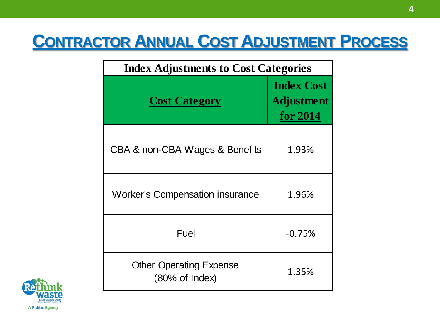### **CONTRACTOR ANNUAL COST ADJUSTMENT PROCESS**

| <b>Index Adjustments to Cost Categories</b>                 |                                                           |  |  |  |
|-------------------------------------------------------------|-----------------------------------------------------------|--|--|--|
| <b>Cost Category</b>                                        | <b>Index Cost</b><br><b>Adjustment</b><br><u>for</u> 2014 |  |  |  |
| CBA & non-CBA Wages & Benefits                              | 1.93%                                                     |  |  |  |
| <b>Worker's Compensation insurance</b>                      | 1.96%                                                     |  |  |  |
| Fuel                                                        | $-0.75%$                                                  |  |  |  |
| <b>Other Operating Expense</b><br>$(80\% \text{ of Index})$ | 1.35%                                                     |  |  |  |

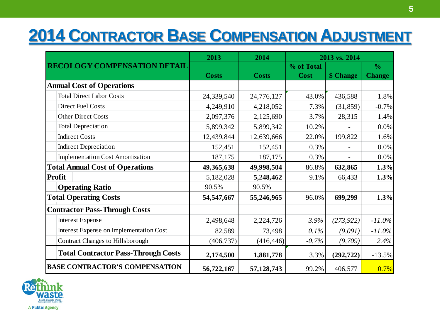### **2014 CONTRACTOR BASE COMPENSATION ADJUSTMENT**

|                                            | 2013         | 2014         | 2013 vs. 2014 |            |               |
|--------------------------------------------|--------------|--------------|---------------|------------|---------------|
| <b>RECOLOGY COMPENSATION DETAIL</b>        |              |              | % of Total    |            | $\frac{0}{0}$ |
|                                            | <b>Costs</b> | <b>Costs</b> | Cost          | \$ Change  | <b>Change</b> |
| <b>Annual Cost of Operations</b>           |              |              |               |            |               |
| <b>Total Direct Labor Costs</b>            | 24,339,540   | 24,776,127   | 43.0%         | 436,588    | 1.8%          |
| <b>Direct Fuel Costs</b>                   | 4,249,910    | 4,218,052    | 7.3%          | (31, 859)  | $-0.7%$       |
| <b>Other Direct Costs</b>                  | 2,097,376    | 2,125,690    | 3.7%          | 28,315     | 1.4%          |
| <b>Total Depreciation</b>                  | 5,899,342    | 5,899,342    | 10.2%         |            | 0.0%          |
| <b>Indirect Costs</b>                      | 12,439,844   | 12,639,666   | 22.0%         | 199,822    | 1.6%          |
| <b>Indirect Depreciation</b>               | 152,451      | 152,451      | 0.3%          |            | $0.0\%$       |
| <b>Implementation Cost Amortization</b>    | 187,175      | 187,175      | 0.3%          |            | 0.0%          |
| <b>Total Annual Cost of Operations</b>     | 49, 365, 638 | 49,998,504   | 86.8%         | 632,865    | 1.3%          |
| <b>Profit</b>                              | 5,182,028    | 5,248,462    | 9.1%          | 66,433     | 1.3%          |
| <b>Operating Ratio</b>                     | 90.5%        | 90.5%        |               |            |               |
| <b>Total Operating Costs</b>               | 54,547,667   | 55,246,965   | 96.0%         | 699,299    | 1.3%          |
| <b>Contractor Pass-Through Costs</b>       |              |              |               |            |               |
| <b>Interest Expense</b>                    | 2,498,648    | 2,224,726    | $3.9\%$       | (273, 922) | $-11.0\%$     |
| Interest Expense on Implementation Cost    | 82,589       | 73,498       | 0.1%          | (9,091)    | $-11.0\%$     |
| <b>Contract Changes to Hillsborough</b>    | (406, 737)   | (416, 446)   | $-0.7\%$      | (9,709)    | 2.4%          |
| <b>Total Contractor Pass-Through Costs</b> | 2,174,500    | 1,881,778    | 3.3%          | (292, 722) | $-13.5%$      |
| <b>BASE CONTRACTOR'S COMPENSATION</b>      | 56,722,167   | 57,128,743   | 99.2%         | 406,577    | 0.7%          |

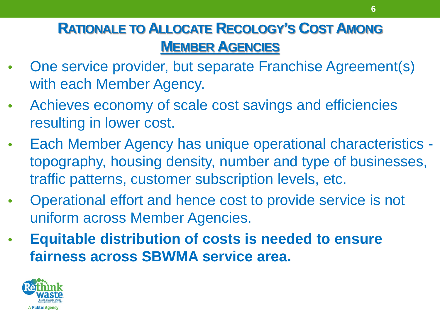#### **RATIONALE TO ALLOCATE RECOLOGY'S COST AMONG MEMBER AGENCIES**

- One service provider, but separate Franchise Agreement(s) with each Member Agency.
- Achieves economy of scale cost savings and efficiencies resulting in lower cost.
- Each Member Agency has unique operational characteristics topography, housing density, number and type of businesses, traffic patterns, customer subscription levels, etc.
- Operational effort and hence cost to provide service is not uniform across Member Agencies.
- **Equitable distribution of costs is needed to ensure fairness across SBWMA service area.**

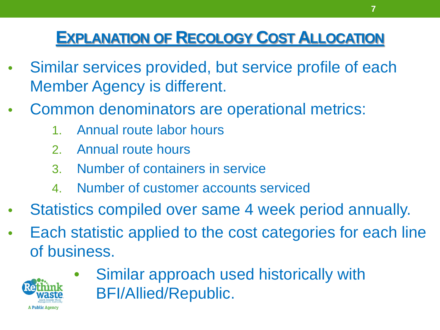### **EXPLANATION OF RECOLOGY COST ALLOCATION**

- Similar services provided, but service profile of each Member Agency is different.
- Common denominators are operational metrics:
	- 1. Annual route labor hours
	- 2. Annual route hours
	- 3. Number of containers in service
	- 4. Number of customer accounts serviced
- Statistics compiled over same 4 week period annually.
- Each statistic applied to the cost categories for each line of business.



Similar approach used historically with BFI/Allied/Republic.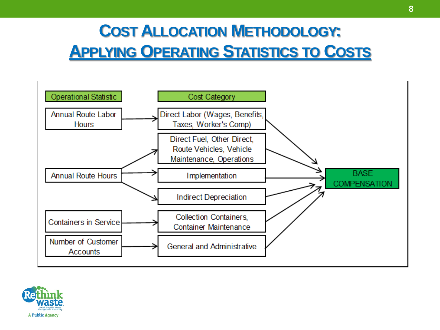### **COST ALLOCATION METHODOLOGY: APPLYING OPERATING STATISTICS TO COSTS**



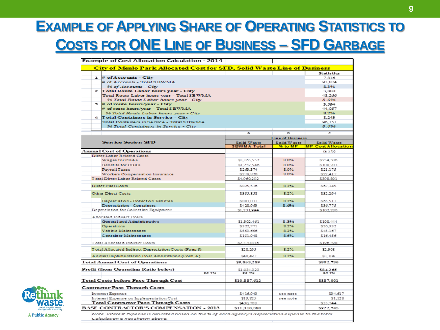#### **EXAMPLE OF APPLYING SHARE OF OPERATING STATISTICS TO COSTS FOR ONE LINE OF BUSINESS – SFD GARBAGE**

| <b>Example of Cost Allocation Calculation - 2014</b>                                                   |                                   |                         |                                          |  |  |  |  |
|--------------------------------------------------------------------------------------------------------|-----------------------------------|-------------------------|------------------------------------------|--|--|--|--|
| City of Menlo Park Allocated Cost for SFD, Solid Waste Line of Business                                |                                   |                         |                                          |  |  |  |  |
|                                                                                                        |                                   |                         | Statistics                               |  |  |  |  |
| $1$ # of Accounts - City                                                                               |                                   |                         | 7.816                                    |  |  |  |  |
| # of Accounts - Total SBWMA                                                                            |                                   |                         |                                          |  |  |  |  |
| 96 of Accounts - City                                                                                  | 8.3%                              |                         |                                          |  |  |  |  |
| 2 Total Route Labor hours year - City                                                                  | 3,880                             |                         |                                          |  |  |  |  |
| Total Route Labor hours year - Total SB WMA                                                            |                                   |                         | 48.266                                   |  |  |  |  |
| 96 Total Route Labor hours year - City                                                                 |                                   |                         |                                          |  |  |  |  |
| $3$ # of route hours/year - City                                                                       |                                   |                         | 3.594                                    |  |  |  |  |
| # of route hours/year - Total SBWMA                                                                    |                                   |                         | 44.057                                   |  |  |  |  |
| 96 Total Route Labor hours year - City                                                                 |                                   |                         | 8.2%                                     |  |  |  |  |
| 4 Total Containers in Service - City                                                                   |                                   |                         | 8,243                                    |  |  |  |  |
| Total Containers in Service - Total SBWMA                                                              |                                   |                         | 96,151                                   |  |  |  |  |
| 96 Total Containers in Service - City                                                                  |                                   |                         | 8.6%                                     |  |  |  |  |
|                                                                                                        | a                                 | ь                       | c                                        |  |  |  |  |
|                                                                                                        |                                   | <b>Line of Business</b> |                                          |  |  |  |  |
| <b>Service Sector: SFD</b>                                                                             | Solid Waste<br><b>SBWMA Total</b> | Solid Waste<br>% to MP  | Solid Waste<br><b>MP Cost Allocation</b> |  |  |  |  |
| Annual Cost of Operations                                                                              |                                   |                         | (a x b)                                  |  |  |  |  |
| Direct Labor-Related Costs                                                                             |                                   |                         |                                          |  |  |  |  |
| Wages for CBAs                                                                                         | \$3,165,552                       | 8.0%                    | \$254,506                                |  |  |  |  |
| Benefits for CBAs                                                                                      | \$1,252,546                       | 8.0%                    | \$100,703                                |  |  |  |  |
| PayrollTaxes                                                                                           | \$269,374                         | 8.0%                    | \$21,175                                 |  |  |  |  |
| Workers Compensation Insurance                                                                         | \$278,820                         | 8.0%                    | \$22,417                                 |  |  |  |  |
| Tota1Direct Labor Related-Costs                                                                        | \$4,960,292                       |                         | \$398,801                                |  |  |  |  |
| Direct Fue1Costs                                                                                       | \$825,516                         | 8.2%                    | \$67,345                                 |  |  |  |  |
|                                                                                                        |                                   |                         |                                          |  |  |  |  |
| Other Direct Costs                                                                                     | \$395,858                         | 8.2%                    | \$32,294                                 |  |  |  |  |
| Depreciation - Collection Vehicles                                                                     | \$803,031                         | 8.2%                    | \$65,511                                 |  |  |  |  |
| Depreciation - Containers                                                                              | \$428,963                         | 8.0%                    | \$36,775                                 |  |  |  |  |
| Depreciation for Collection Equipment                                                                  | \$1,231,994                       |                         | \$102.286                                |  |  |  |  |
| Allocated Indirect Costs                                                                               |                                   |                         |                                          |  |  |  |  |
| General and Administrative                                                                             | \$1,302,461                       | 8.3%                    | \$108.444                                |  |  |  |  |
| Operations                                                                                             | \$322,771                         | 8.2%                    | \$26,332                                 |  |  |  |  |
| Vehicle Maintenance                                                                                    | \$553,656                         | 8.2%                    | \$45,167                                 |  |  |  |  |
| Container Maintenance                                                                                  | \$191,948                         | 8.6%                    | \$16,456                                 |  |  |  |  |
|                                                                                                        |                                   |                         |                                          |  |  |  |  |
| Total Allocated Indirect Costs                                                                         | \$2,370,836                       |                         | \$196,398                                |  |  |  |  |
| Total Allocated Indirect Depreciation Costs (Form 9)                                                   | \$28,295                          | 8.2%                    | \$2,308                                  |  |  |  |  |
| Annual Implementation Cost Amortization (Form A)                                                       | \$40,497                          | 8.2%                    | \$3,304                                  |  |  |  |  |
| <b>Total Annual Cost of Operations</b>                                                                 | \$9,853,289                       |                         | \$802,736                                |  |  |  |  |
| Profit (from Operating Ratio below)                                                                    | \$1,034,323                       |                         | \$84.265                                 |  |  |  |  |
| 90.5%                                                                                                  | 90.5%                             |                         | 90.5%                                    |  |  |  |  |
| Total Costs before Pass-Through Cost                                                                   | \$10,887,612                      |                         | \$887,001                                |  |  |  |  |
| Contractor Pass-Through Costs                                                                          |                                   |                         |                                          |  |  |  |  |
| In teres t Expense                                                                                     | \$416,943                         | see note                | \$34.617                                 |  |  |  |  |
| Interest Expense on Implementation Cost                                                                | \$13,825                          | see note                | \$1,128                                  |  |  |  |  |
| Total Contractor Pass-Through Costs                                                                    |                                   |                         |                                          |  |  |  |  |
|                                                                                                        | \$430,768                         |                         | \$35,744                                 |  |  |  |  |
| <b>BASE CONTRACTOR'S COMPENSATION - 2013</b>                                                           | \$11,318,380                      |                         | \$922,745                                |  |  |  |  |
| Note: Interest Expense is allocated based on the % of each agency's depreciation expense to the total. |                                   |                         |                                          |  |  |  |  |



Calculation is not shown above.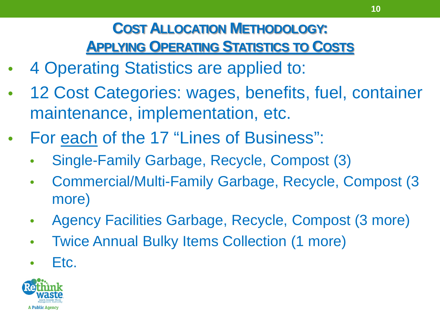#### **COST ALLOCATION METHODOLOGY: APPLYING OPERATING STATISTICS TO COSTS**

- 4 Operating Statistics are applied to:
- 12 Cost Categories: wages, benefits, fuel, container maintenance, implementation, etc.
- For each of the 17 "Lines of Business":
	- Single-Family Garbage, Recycle, Compost (3)
	- Commercial/Multi-Family Garbage, Recycle, Compost (3 more)
	- Agency Facilities Garbage, Recycle, Compost (3 more)
	- Twice Annual Bulky Items Collection (1 more)
	- Etc.

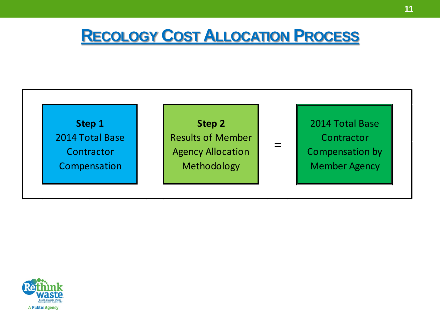#### **RECOLOGY COST ALLOCATION PROCESS**



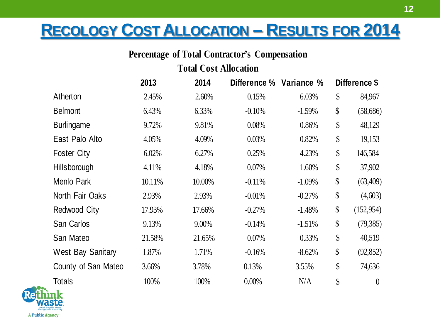### **RECOLOGY COST ALLOCATION – RESULTS FOR 2014**

**Percentage of Total Contractor's Compensation**

|                          |        |                              | $20$ and $20$ and $20$ and $20$ and $20$ and $20$ and $20$ |           |                                 |                  |
|--------------------------|--------|------------------------------|------------------------------------------------------------|-----------|---------------------------------|------------------|
|                          |        | <b>Total Cost Allocation</b> |                                                            |           |                                 |                  |
|                          | 2013   | 2014                         | Difference % Variance %                                    |           | Difference \$                   |                  |
| Atherton                 | 2.45%  | 2.60%                        | 0.15%                                                      | 6.03%     | \$                              | 84,967           |
| <b>Belmont</b>           | 6.43%  | 6.33%                        | $-0.10%$                                                   | $-1.59\%$ | \$                              | (58, 686)        |
| <b>Burlingame</b>        | 9.72%  | 9.81%                        | 0.08%                                                      | 0.86%     | \$                              | 48,129           |
| East Palo Alto           | 4.05%  | 4.09%                        | 0.03%                                                      | 0.82%     | \$                              | 19,153           |
| <b>Foster City</b>       | 6.02%  | 6.27%                        | 0.25%                                                      | 4.23%     | \$                              | 146,584          |
| Hillsborough             | 4.11%  | 4.18%                        | 0.07%                                                      | 1.60%     | \$                              | 37,902           |
| Menlo Park               | 10.11% | 10.00%                       | $-0.11%$                                                   | $-1.09\%$ | \$                              | (63, 409)        |
| North Fair Oaks          | 2.93%  | 2.93%                        | $-0.01%$                                                   | $-0.27%$  | \$                              | (4,603)          |
| Redwood City             | 17.93% | 17.66%                       | $-0.27%$                                                   | $-1.48%$  | \$                              | (152, 954)       |
| San Carlos               | 9.13%  | 9.00%                        | $-0.14%$                                                   | $-1.51%$  | \$                              | (79, 385)        |
| San Mateo                | 21.58% | 21.65%                       | 0.07%                                                      | 0.33%     | \$                              | 40,519           |
| <b>West Bay Sanitary</b> | 1.87%  | 1.71%                        | $-0.16%$                                                   | $-8.62%$  | \$                              | (92, 852)        |
| County of San Mateo      | 3.66%  | 3.78%                        | 0.13%                                                      | 3.55%     | $\boldsymbol{\mathsf{\hat{S}}}$ | 74,636           |
| <b>Totals</b>            | 100%   | 100%                         | 0.00%                                                      | N/A       | \$                              | $\boldsymbol{0}$ |

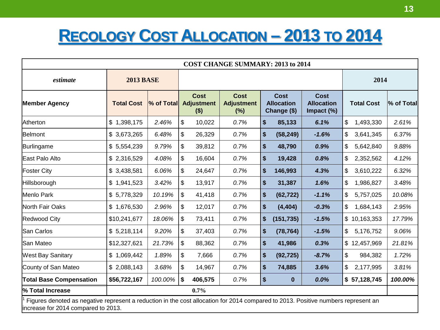## **RECOLOGY COST ALLOCATION – 2013 TO 2014**

| <b>COST CHANGE SUMMARY: 2013 to 2014</b>                                                                                                                                 |                   |            |                                             |                                         |                                                 |                                                   |                   |            |
|--------------------------------------------------------------------------------------------------------------------------------------------------------------------------|-------------------|------------|---------------------------------------------|-----------------------------------------|-------------------------------------------------|---------------------------------------------------|-------------------|------------|
| estimate                                                                                                                                                                 | <b>2013 BASE</b>  |            |                                             |                                         |                                                 | 2014                                              |                   |            |
| <b>Member Agency</b>                                                                                                                                                     | <b>Total Cost</b> | % of Total | <b>Cost</b><br><b>Adjustment</b><br>$($ \$) | <b>Cost</b><br><b>Adjustment</b><br>(%) | <b>Cost</b><br><b>Allocation</b><br>Change (\$) | <b>Cost</b><br><b>Allocation</b><br>Impact $(\%)$ | <b>Total Cost</b> | % of Total |
| <b>Atherton</b>                                                                                                                                                          | \$1,398,175       | 2.46%      | \$<br>10,022                                | 0.7%                                    | \$<br>85,133                                    | 6.1%                                              | \$<br>1,493,330   | 2.61%      |
| Belmont                                                                                                                                                                  | \$3,673,265       | 6.48%      | \$<br>26,329                                | 0.7%                                    | \$<br>(58, 249)                                 | $-1.6%$                                           | \$<br>3,641,345   | 6.37%      |
| Burlingame                                                                                                                                                               | \$5,554,239       | 9.79%      | \$<br>39,812                                | 0.7%                                    | \$<br>48,790                                    | 0.9%                                              | \$<br>5,642,840   | 9.88%      |
| East Palo Alto                                                                                                                                                           | \$2,316,529       | 4.08%      | 16,604<br>\$                                | 0.7%                                    | \$<br>19,428                                    | 0.8%                                              | 2,352,562<br>\$   | 4.12%      |
| <b>Foster City</b>                                                                                                                                                       | \$3,438,581       | 6.06%      | \$<br>24,647                                | 0.7%                                    | 146,993<br>\$                                   | 4.3%                                              | 3,610,222<br>\$   | 6.32%      |
| <b>Hillsborough</b>                                                                                                                                                      | \$1,941,523       | 3.42%      | \$<br>13,917                                | 0.7%                                    | \$<br>31,387                                    | 1.6%                                              | \$<br>1,986,827   | 3.48%      |
| Menlo Park                                                                                                                                                               | \$5,778,329       | 10.19%     | \$<br>41,418                                | 0.7%                                    | \$<br>(62, 722)                                 | $-1.1%$                                           | 5,757,025<br>\$   | 10.08%     |
| North Fair Oaks                                                                                                                                                          | \$1,676,530       | 2.96%      | \$<br>12,017                                | 0.7%                                    | $\sqrt[6]{\frac{1}{2}}$<br>(4, 404)             | $-0.3%$                                           | \$<br>1,684,143   | 2.95%      |
| Redwood City                                                                                                                                                             | \$10,241,677      | 18.06%     | \$<br>73,411                                | 0.7%                                    | \$<br>(151, 735)                                | $-1.5%$                                           | \$10,163,353      | 17.79%     |
| San Carlos                                                                                                                                                               | \$5,218,114       | 9.20%      | \$<br>37,403                                | 0.7%                                    | (78, 764)<br>S.                                 | $-1.5%$                                           | 5,176,752<br>\$.  | 9.06%      |
| San Mateo                                                                                                                                                                | \$12,327,621      | 21.73%     | \$<br>88,362                                | 0.7%                                    | \$<br>41,986                                    | 0.3%                                              | \$12,457,969      | 21.81%     |
| <b>West Bay Sanitary</b>                                                                                                                                                 | \$1,069,442       | 1.89%      | \$<br>7,666                                 | 0.7%                                    | \$<br>(92, 725)                                 | $-8.7%$                                           | 984,382<br>\$     | 1.72%      |
| County of San Mateo                                                                                                                                                      | \$2,088,143       | 3.68%      | \$<br>14,967                                | 0.7%                                    | \$<br>74,885                                    | 3.6%                                              | \$<br>2,177,995   | 3.81%      |
| <b>Total Base Compensation</b>                                                                                                                                           | \$56,722,167      | 100.00%    | \$<br>406,575                               | 0.7%                                    | \$<br>$\bf{0}$                                  | 0.0%                                              | \$57,128,745      | 100.00%    |
| % Total Increase                                                                                                                                                         |                   |            | $0.7\%$                                     |                                         |                                                 |                                                   |                   |            |
| Figures denoted as negative represent a reduction in the cost allocation for 2014 compared to 2013. Positive numbers represent an<br>increase for 2014 compared to 2013. |                   |            |                                             |                                         |                                                 |                                                   |                   |            |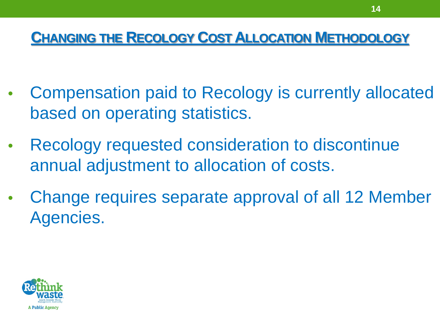#### **CHANGING THE RECOLOGY COST ALLOCATION METHODOLOGY**

- Compensation paid to Recology is currently allocated based on operating statistics.
- Recology requested consideration to discontinue annual adjustment to allocation of costs.
- Change requires separate approval of all 12 Member Agencies.

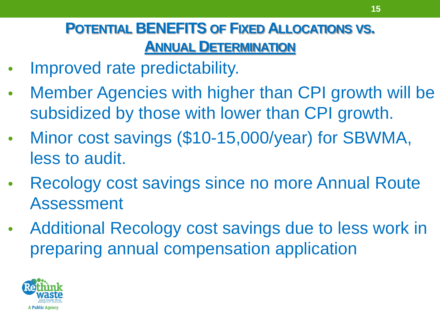#### **POTENTIAL BENEFITS OF FIXED ALLOCATIONS VS. ANNUAL DETERMINATION**

- Improved rate predictability.
- Member Agencies with higher than CPI growth will be subsidized by those with lower than CPI growth.
- Minor cost savings (\$10-15,000/year) for SBWMA, less to audit.
- Recology cost savings since no more Annual Route Assessment
- Additional Recology cost savings due to less work in preparing annual compensation application

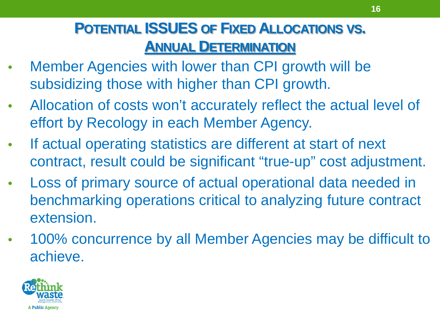#### **POTENTIAL ISSUES OF FIXED ALLOCATIONS VS. ANNUAL DETERMINATION**

- Member Agencies with lower than CPI growth will be subsidizing those with higher than CPI growth.
- Allocation of costs won't accurately reflect the actual level of effort by Recology in each Member Agency.
- If actual operating statistics are different at start of next contract, result could be significant "true-up" cost adjustment.
- Loss of primary source of actual operational data needed in benchmarking operations critical to analyzing future contract extension.
- 100% concurrence by all Member Agencies may be difficult to achieve.